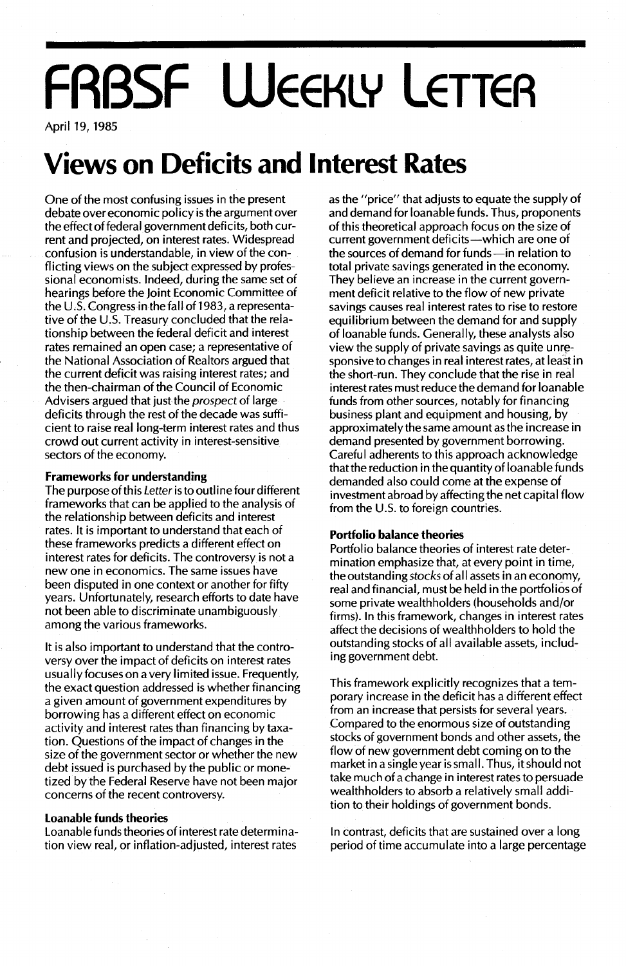# **FRBSF WEEKLY LETTER**

April 19, 1985

## **Views on Deficits and Interest Rates**

One of the most confusing issues in the present debate over economic policy is the argument over the effect of federal government deficits, both current and projected, on interest rates. Widespread confusion is understandable, in view of the conflicting views on the subject expressed by professional economists. Indeed, during the same set of hearings before the Joint Economic Committee of the U.S. Congress in the fall of 1983, a representative of the U.S. Treasury concluded that the relationship between the federal deficit and interest rates remained an open case; a representative of the National Association of Realtors argued that the current deficit was raising interest rates; and the then-chairman of the Council of Economic Advisers argued that just the *prospect* of large deficits through the rest of the decade was sufficient to raise real long-term interest rates and thus crowd out current activity in interest-sensitive sectors of the economy.

#### **Frameworks for understanding**

The purpose of this Letter is to outline four different frameworks that can be applied to the analysis of the relationship between deficits and interest rates. It is important to understand that each of these frameworks predicts a different effect on interest rates for deficits. The controversy is not a new one in economics. The same issues have been disputed in one context or another for fifty years. Unfortunately, research efforts to date have not been able to discriminate unambiguously among the various frameworks.

It is also important to understand that the controversy over the impact of deficits on interest rates usually focuses on a very limited issue. Frequently, the exact question addressed is whether financing a given amount of government expenditures by borrowing has a different effect on economic activity and interest rates than financing by taxation. Questions of the impact of changes in the size of the government sector or whether the new debt issued is purchased by the public or monetized by the Federal Reserve have not been major concerns of the recent controversy.

#### **Loanable funds theories**

Loanable funds theories of interest rate determination view real, or inflation-adjusted, interest rates

as the "price" that adjusts to equate the supply of and demand for loanable funds. Thus, proponents of this theoretical approach focus on the size of current government deficits-which are one of the sources of demand for funds-in relation to total private savings generated in the economy. They believe an increase in the current government deficit relative to the flow of new private savings causes real interest rates to rise to restore equilibrium between the demand for and supply of loanable funds. Generally, these analysts also view the supply of private savings as quite unresponsive to changes in real interest rates, at least in the short-run. They conclude that the rise in real interest rates must reduce the demand for loanable funds from other sources, notably for financing business plant and equipment and housing, by approximately the same amount as the increase in demand presented by government borrowing. Careful adherents to this approach acknowledge that the reduction in the quantity of loanable funds demanded also could come at the expense of investment abroad by affecting the net capital flow from the U.S. to foreign countries.

#### **Portfolio balance theories**

Portfolio balance theories of interest rate determination emphasize that, at every point in time, the outstanding stocks of all assets in an economy, real and financial, must be held in the portfolios of some private wealthholders (households and/or firms). In this framework, changes in interest rates affect the decisions of wealthholders to hold the outstanding stocks of all available assets, including government debt.

This framework explicitly recognizes that a temporary increase in the deficit has a different effect from an increase that persists for several years. Compared to the enormous size of outstanding stocks of government bonds and other assets, the flow of new government debt coming on to the market in a single year is small. Thus, itshould not take much of a change in interest rates to persuade wealthholders to absorb a relatively small addition to their holdings of government bonds.

In contrast, deficits that are sustained over a long period of time accumulate into a large percentage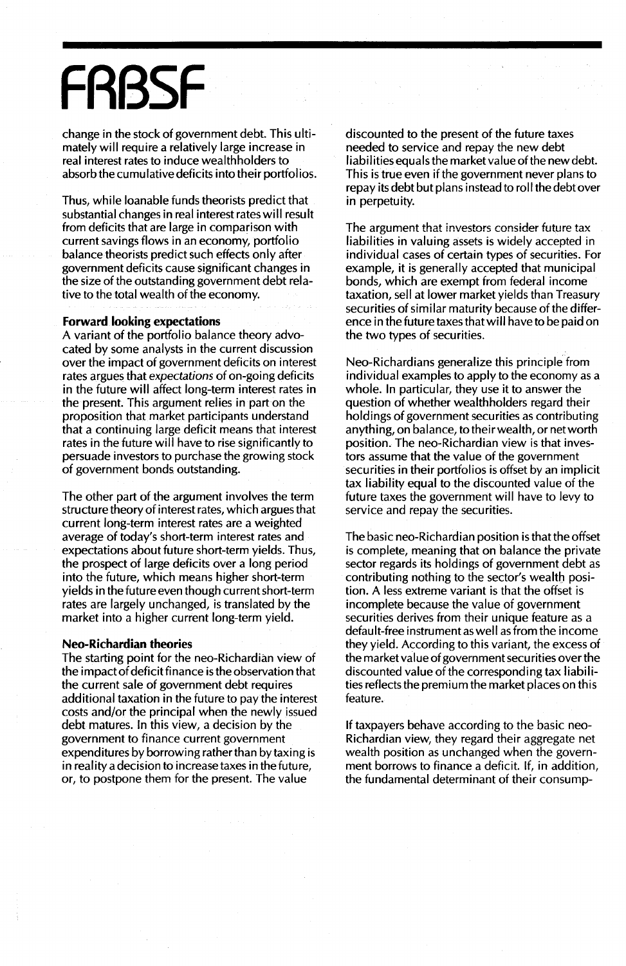## **FRBSF**

change in the stock of government debt. This ultimately will require a relatively large increase in real interest rates to induce wealthholders to absorb the cumulative deficits into their portfolios.

Thus, while loanable funds theorists predict that substantial changes in real interest rates will result from deficits that are large in comparison with current savings flows in an economy, portfolio balance theorists predict such effects only after government deficits cause significant changes in the size of the outstanding government debt relative to the total wealth of the economy.

#### Forward looking expectations

A variant of the portfolio balance theory advocated by some analysts in the current discussion over the impact of government deficits on interest rates argues that expectations of on-going deficits in the future will affect long-term interest rates in the present. This argument relies in part on the proposition that market participants understand that a continuing large deficit means that interest rates in the future will have to rise significantly to persuade investors to purchase the growing stock of government bonds outstanding.

The other part of the argument involves the term structure theory of interest rates, which argues that current long-term interest rates are a weighted average of today's short-term interest rates and expectations about future short-term yields. Thus, the prospect of large deficits over a long period into the future, which means higher short-term yields in the future even though current short-term rates are largely unchanged, is translated by the market into a higher current long-term yield.

#### Neo-Richardian theories

The starting point for the neo-Richardian view of the impact of deficit finance is the observation that the current sale of government debt requires additional taxation in the future to pay the interest costs and/or the principal when the newly issued debt matures. In this view, a decision by the government to finance current government expenditures by borrowing rather than by taxing is in reality a decision to increase taxes in the future, or, to postpone them for the present. The value

discounted to the present of the future taxes needed to service and repay the new debt liabilities equals the market value of the new debt. This is true even if the government never plans to repay its debt but plans instead to roll the debt over in perpetuity.

The argument that investors consider future tax liabilities in valuing assets is widely accepted in individual cases of certain types of securities. For example, it is generally accepted that municipal bonds, which are exempt from federal income taxation, sell at lower market yields than Treasury securities of similar maturity because of the difference in the future taxes that will have to be paid on the two types of securities.

Neo-Richardians generalize this principle from individual examples to apply to the economy as a whole. In particular, they use it to answer the question of whether wealthholders regard their holdings of government securities as contributing anything, on balance, to their wealth, or net worth position. The neo-Richardian view is that investors assume that the value of the government securities in their portfolios is offset by an implicit tax liability equal to the discounted value of the future taxes the government will have to levy to service and repay the securities.

The basic neo-Richardian position is that the offset is complete, meaning that on balance the private sector regards its holdings of government debt as contributing nothing to the sector's wealth position. A less extreme variant is that the offset is incomplete because the value of government securities derives from their unique feature as a default-free instrument as well as from the income they yield. According to this variant, the excess of the market value of government securities over the discounted value of the corresponding tax liabilities reflects the premium the market places on this feature.

If taxpayers behave according to the basic neo-Richardian view, they regard their aggregate net wealth position as unchanged when the government borrows to finance a deficit. If, in addition, the fundamental determinant of their consump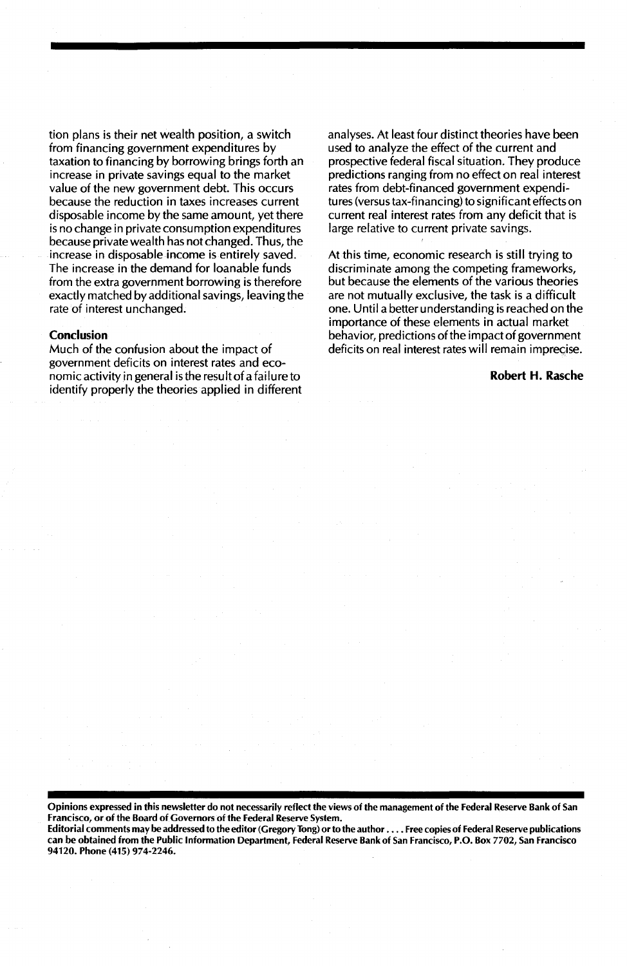tion plans is their net wealth position, a switch from financing government expenditures by taxation to financing by borrowing brings forth an increase in private savings equal to the market value of the new government debt. This occurs because the reduction in taxes increases current disposable income by the same amount, yet there is no change in private consumption expenditures because private wealth has not changed. Thus, the increase in disposable income is entirely saved. The increase in the demand for loanable funds from the extra government borrowing is therefore exactly matched by additional savings, leaving the rate of interest unchanged.

#### **Conclusion**

Much of the confusion about the impact of government deficits on interest rates and economic activity in general is the result of a failure to identify properly the theories applied in different analyses. At least four distinct theories have been used to analyze the effect of the current and prospective federal fiscal situation. They produce predictions ranging from no effect on real interest rates from debt-financed government expenditures (versus tax-financing) to significant effects on current real interest rates from any deficit that is large relative to current private savings.

At this time, economic research is still trying to discriminate among the competing frameworks, but because the elements of the various theories are not mutually exclusive, the task is a difficult one. Until a better understanding is reached on the importance of these elements in actual market behavior, predictions of the impact of government deficits on real interest rates will remain imprecise.

#### **Robert H. Rasche**

Opinions expressed in this newsletter do not necessarily reflect the views of the management of the Federal Reserve Bank of San Francisco, or of the Board of Governors of the Federal Reserve System.

Editorial comments may be addressed to the editor (Gregory Tong) orto the author ...• Free copies of Federal Reserve publications can be obtained from the Public Information Department, Federal Reserve Bank of San Francisco, P.O. Box 7702, San Francisco 94120. Phone (415) 974-2246.